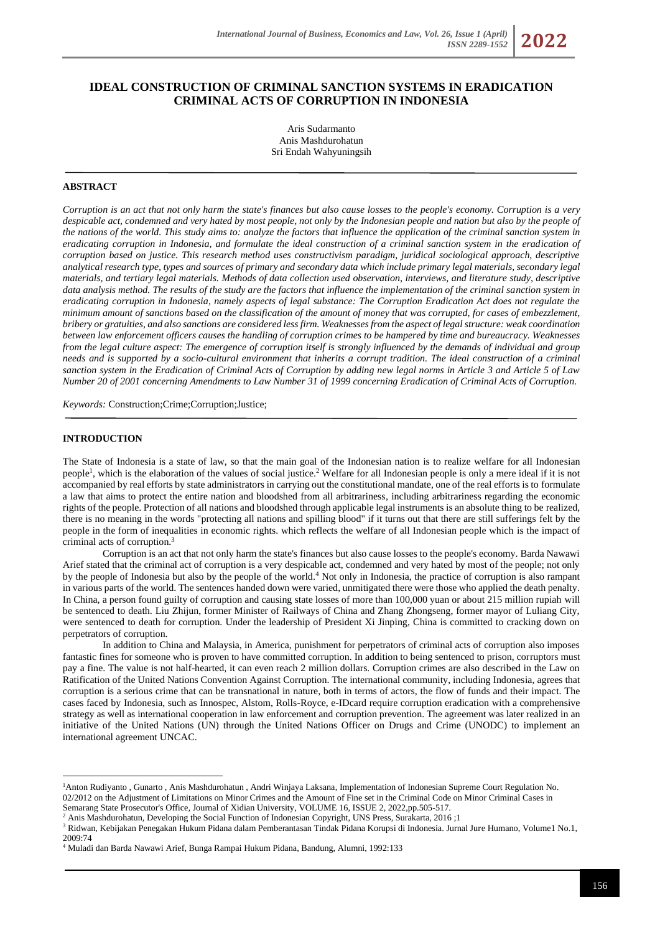*ISSN 2289-1552* **2022**

# **IDEAL CONSTRUCTION OF CRIMINAL SANCTION SYSTEMS IN ERADICATION CRIMINAL ACTS OF CORRUPTION IN INDONESIA**

Aris Sudarmanto Anis Mashdurohatun Sri Endah Wahyuningsih

### **ABSTRACT**

*Corruption is an act that not only harm the state's finances but also cause losses to the people's economy. Corruption is a very despicable act, condemned and very hated by most people, not only by the Indonesian people and nation but also by the people of the nations of the world. This study aims to: analyze the factors that influence the application of the criminal sanction system in eradicating corruption in Indonesia, and formulate the ideal construction of a criminal sanction system in the eradication of corruption based on justice. This research method uses constructivism paradigm, juridical sociological approach, descriptive analytical research type, types and sources of primary and secondary data which include primary legal materials, secondary legal materials, and tertiary legal materials. Methods of data collection used observation, interviews, and literature study, descriptive data analysis method. The results of the study are the factors that influence the implementation of the criminal sanction system in eradicating corruption in Indonesia, namely aspects of legal substance: The Corruption Eradication Act does not regulate the minimum amount of sanctions based on the classification of the amount of money that was corrupted, for cases of embezzlement, bribery or gratuities, and also sanctions are considered less firm. Weaknesses from the aspect of legal structure: weak coordination between law enforcement officers causes the handling of corruption crimes to be hampered by time and bureaucracy. Weaknesses from the legal culture aspect: The emergence of corruption itself is strongly influenced by the demands of individual and group needs and is supported by a socio-cultural environment that inherits a corrupt tradition. The ideal construction of a criminal sanction system in the Eradication of Criminal Acts of Corruption by adding new legal norms in Article 3 and Article 5 of Law Number 20 of 2001 concerning Amendments to Law Number 31 of 1999 concerning Eradication of Criminal Acts of Corruption.*

*Keywords:* Construction;Crime;Corruption;Justice;

### **INTRODUCTION**

The State of Indonesia is a state of law, so that the main goal of the Indonesian nation is to realize welfare for all Indonesian people<sup>1</sup>, which is the elaboration of the values of social justice.<sup>2</sup> Welfare for all Indonesian people is only a mere ideal if it is not accompanied by real efforts by state administrators in carrying out the constitutional mandate, one of the real efforts is to formulate a law that aims to protect the entire nation and bloodshed from all arbitrariness, including arbitrariness regarding the economic rights of the people. Protection of all nations and bloodshed through applicable legal instruments is an absolute thing to be realized, there is no meaning in the words "protecting all nations and spilling blood" if it turns out that there are still sufferings felt by the people in the form of inequalities in economic rights. which reflects the welfare of all Indonesian people which is the impact of criminal acts of corruption.<sup>3</sup>

Corruption is an act that not only harm the state's finances but also cause losses to the people's economy. Barda Nawawi Arief stated that the criminal act of corruption is a very despicable act, condemned and very hated by most of the people; not only by the people of Indonesia but also by the people of the world.<sup>4</sup> Not only in Indonesia, the practice of corruption is also rampant in various parts of the world. The sentences handed down were varied, unmitigated there were those who applied the death penalty. In China, a person found guilty of corruption and causing state losses of more than 100,000 yuan or about 215 million rupiah will be sentenced to death. Liu Zhijun, former Minister of Railways of China and Zhang Zhongseng, former mayor of Luliang City, were sentenced to death for corruption. Under the leadership of President Xi Jinping, China is committed to cracking down on perpetrators of corruption.

In addition to China and Malaysia, in America, punishment for perpetrators of criminal acts of corruption also imposes fantastic fines for someone who is proven to have committed corruption. In addition to being sentenced to prison, corruptors must pay a fine. The value is not half-hearted, it can even reach 2 million dollars. Corruption crimes are also described in the Law on Ratification of the United Nations Convention Against Corruption. The international community, including Indonesia, agrees that corruption is a serious crime that can be transnational in nature, both in terms of actors, the flow of funds and their impact. The cases faced by Indonesia, such as Innospec, Alstom, Rolls-Royce, e-IDcard require corruption eradication with a comprehensive strategy as well as international cooperation in law enforcement and corruption prevention. The agreement was later realized in an initiative of the United Nations (UN) through the United Nations Officer on Drugs and Crime (UNODC) to implement an international agreement UNCAC.

<sup>1</sup>Anton Rudiyanto , Gunarto , Anis Mashdurohatun , Andri Winjaya Laksana, Implementation of Indonesian Supreme Court Regulation No. 02/2012 on the Adjustment of Limitations on Minor Crimes and the Amount of Fine set in the Criminal Code on Minor Criminal Cases in Semarang State Prosecutor's Office, Journal of Xidian University, VOLUME 16, ISSUE 2, 2022,pp.505-517.

<sup>2</sup> Anis Mashdurohatun, Developing the Social Function of Indonesian Copyright, UNS Press, Surakarta, 2016 ;1

<sup>3</sup> Ridwan, Kebijakan Penegakan Hukum Pidana dalam Pemberantasan Tindak Pidana Korupsi di Indonesia. Jurnal Jure Humano, Volume1 No.1, 2009:74

<sup>4</sup> Muladi dan Barda Nawawi Arief, Bunga Rampai Hukum Pidana, Bandung, Alumni, 1992:133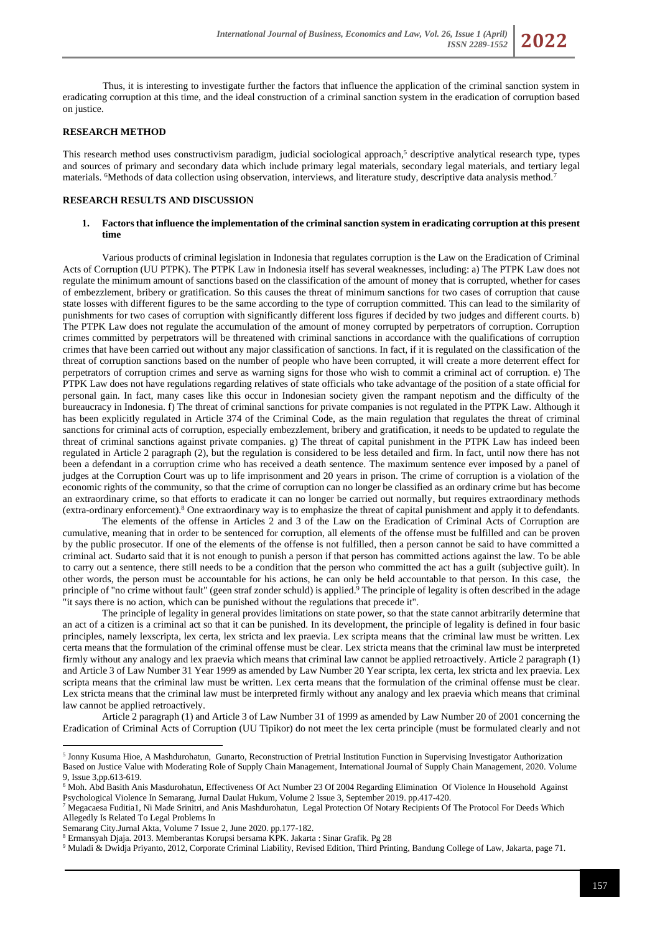

### **RESEARCH METHOD**

This research method uses constructivism paradigm, judicial sociological approach,<sup>5</sup> descriptive analytical research type, types and sources of primary and secondary data which include primary legal materials, secondary legal materials, and tertiary legal materials. <sup>6</sup>Methods of data collection using observation, interviews, and literature study, descriptive data analysis method.<sup>7</sup>

## **RESEARCH RESULTS AND DISCUSSION**

### **1. Factors that influence the implementation of the criminal sanction system in eradicating corruption at this present time**

Various products of criminal legislation in Indonesia that regulates corruption is the Law on the Eradication of Criminal Acts of Corruption (UU PTPK). The PTPK Law in Indonesia itself has several weaknesses, including: a) The PTPK Law does not regulate the minimum amount of sanctions based on the classification of the amount of money that is corrupted, whether for cases of embezzlement, bribery or gratification. So this causes the threat of minimum sanctions for two cases of corruption that cause state losses with different figures to be the same according to the type of corruption committed. This can lead to the similarity of punishments for two cases of corruption with significantly different loss figures if decided by two judges and different courts. b) The PTPK Law does not regulate the accumulation of the amount of money corrupted by perpetrators of corruption. Corruption crimes committed by perpetrators will be threatened with criminal sanctions in accordance with the qualifications of corruption crimes that have been carried out without any major classification of sanctions. In fact, if it is regulated on the classification of the threat of corruption sanctions based on the number of people who have been corrupted, it will create a more deterrent effect for perpetrators of corruption crimes and serve as warning signs for those who wish to commit a criminal act of corruption. e) The PTPK Law does not have regulations regarding relatives of state officials who take advantage of the position of a state official for personal gain. In fact, many cases like this occur in Indonesian society given the rampant nepotism and the difficulty of the bureaucracy in Indonesia. f) The threat of criminal sanctions for private companies is not regulated in the PTPK Law. Although it has been explicitly regulated in Article 374 of the Criminal Code, as the main regulation that regulates the threat of criminal sanctions for criminal acts of corruption, especially embezzlement, bribery and gratification, it needs to be updated to regulate the threat of criminal sanctions against private companies. g) The threat of capital punishment in the PTPK Law has indeed been regulated in Article 2 paragraph (2), but the regulation is considered to be less detailed and firm. In fact, until now there has not been a defendant in a corruption crime who has received a death sentence. The maximum sentence ever imposed by a panel of judges at the Corruption Court was up to life imprisonment and 20 years in prison. The crime of corruption is a violation of the economic rights of the community, so that the crime of corruption can no longer be classified as an ordinary crime but has become an extraordinary crime, so that efforts to eradicate it can no longer be carried out normally, but requires extraordinary methods (extra-ordinary enforcement).<sup>8</sup> One extraordinary way is to emphasize the threat of capital punishment and apply it to defendants.

The elements of the offense in Articles 2 and 3 of the Law on the Eradication of Criminal Acts of Corruption are cumulative, meaning that in order to be sentenced for corruption, all elements of the offense must be fulfilled and can be proven by the public prosecutor. If one of the elements of the offense is not fulfilled, then a person cannot be said to have committed a criminal act. Sudarto said that it is not enough to punish a person if that person has committed actions against the law. To be able to carry out a sentence, there still needs to be a condition that the person who committed the act has a guilt (subjective guilt). In other words, the person must be accountable for his actions, he can only be held accountable to that person. In this case, the principle of "no crime without fault" (geen straf zonder schuld) is applied.<sup>9</sup> The principle of legality is often described in the adage "it says there is no action, which can be punished without the regulations that precede it".

The principle of legality in general provides limitations on state power, so that the state cannot arbitrarily determine that an act of a citizen is a criminal act so that it can be punished. In its development, the principle of legality is defined in four basic principles, namely lexscripta, lex certa, lex stricta and lex praevia. Lex scripta means that the criminal law must be written. Lex certa means that the formulation of the criminal offense must be clear. Lex stricta means that the criminal law must be interpreted firmly without any analogy and lex praevia which means that criminal law cannot be applied retroactively. Article 2 paragraph (1) and Article 3 of Law Number 31 Year 1999 as amended by Law Number 20 Year scripta, lex certa, lex stricta and lex praevia. Lex scripta means that the criminal law must be written. Lex certa means that the formulation of the criminal offense must be clear. Lex stricta means that the criminal law must be interpreted firmly without any analogy and lex praevia which means that criminal law cannot be applied retroactively.

Article 2 paragraph (1) and Article 3 of Law Number 31 of 1999 as amended by Law Number 20 of 2001 concerning the Eradication of Criminal Acts of Corruption (UU Tipikor) do not meet the lex certa principle (must be formulated clearly and not

<sup>&</sup>lt;sup>5</sup> Jonny Kusuma Hioe, A Mashdurohatun, Gunarto, Reconstruction of Pretrial Institution Function in Supervising Investigator Authorization [Based on Justice Value with Moderating Role of Supply Chain Management,](https://scholar.google.com/scholar?oi=bibs&cluster=13176382990277660663&btnI=1&hl=en) International Journal of Supply Chain Management, 2020. Volume 9, Issue 3,pp.613-619.

<sup>6</sup> Moh. Abd Basith Anis Masdurohatun, Effectiveness Of Act Number 23 Of 2004 Regarding Elimination Of Violence In Household Against Psychological Violence In Semarang, Jurnal Daulat Hukum, Volume 2 Issue 3, September 2019. pp.417-420.

<sup>7</sup> Megacaesa Fuditia1, Ni Made Srinitri, and Anis Mashdurohatun, Legal Protection Of Notary Recipients Of The Protocol For Deeds Which Allegedly Is Related To Legal Problems In

Semarang City.Jurnal Akta, Volume 7 Issue 2, June 2020. pp.177-182.

<sup>8</sup> Ermansyah Djaja. 2013. Memberantas Korupsi bersama KPK. Jakarta : Sinar Grafik. Pg 28

<sup>9</sup> Muladi & Dwidja Priyanto, 2012, Corporate Criminal Liability, Revised Edition, Third Printing, Bandung College of Law, Jakarta, page 71.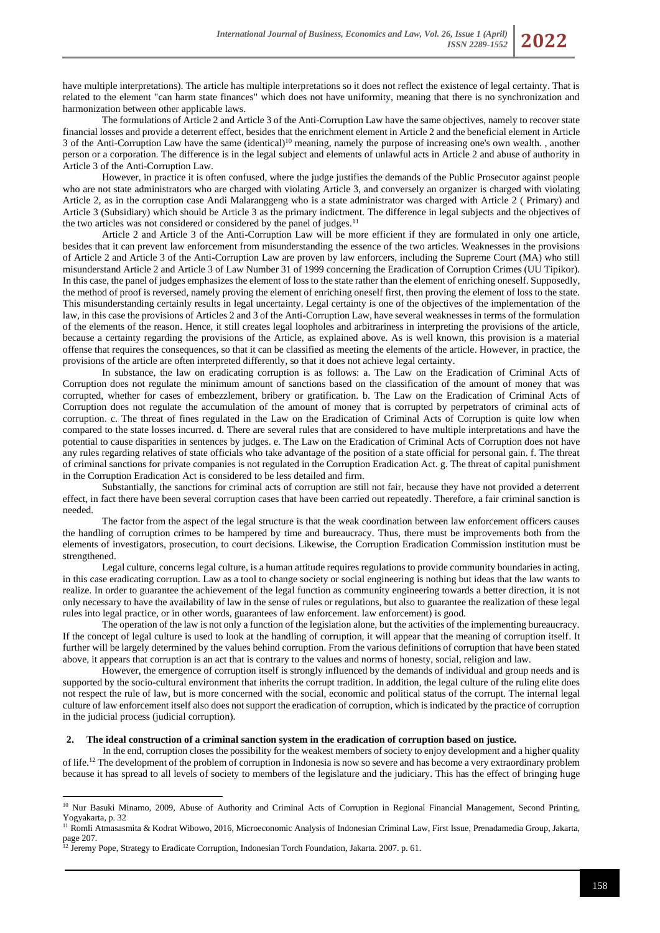have multiple interpretations). The article has multiple interpretations so it does not reflect the existence of legal certainty. That is related to the element "can harm state finances" which does not have uniformity, meaning that there is no synchronization and harmonization between other applicable laws.

The formulations of Article 2 and Article 3 of the Anti-Corruption Law have the same objectives, namely to recover state financial losses and provide a deterrent effect, besides that the enrichment element in Article 2 and the beneficial element in Article 3 of the Anti-Corruption Law have the same (identical)<sup>10</sup> meaning, namely the purpose of increasing one's own wealth. , another person or a corporation. The difference is in the legal subject and elements of unlawful acts in Article 2 and abuse of authority in Article 3 of the Anti-Corruption Law.

However, in practice it is often confused, where the judge justifies the demands of the Public Prosecutor against people who are not state administrators who are charged with violating Article 3, and conversely an organizer is charged with violating Article 2, as in the corruption case Andi Malaranggeng who is a state administrator was charged with Article 2 ( Primary) and Article 3 (Subsidiary) which should be Article 3 as the primary indictment. The difference in legal subjects and the objectives of the two articles was not considered or considered by the panel of judges.<sup>11</sup>

Article 2 and Article 3 of the Anti-Corruption Law will be more efficient if they are formulated in only one article, besides that it can prevent law enforcement from misunderstanding the essence of the two articles. Weaknesses in the provisions of Article 2 and Article 3 of the Anti-Corruption Law are proven by law enforcers, including the Supreme Court (MA) who still misunderstand Article 2 and Article 3 of Law Number 31 of 1999 concerning the Eradication of Corruption Crimes (UU Tipikor). In this case, the panel of judges emphasizes the element of loss to the state rather than the element of enriching oneself. Supposedly, the method of proof is reversed, namely proving the element of enriching oneself first, then proving the element of loss to the state. This misunderstanding certainly results in legal uncertainty. Legal certainty is one of the objectives of the implementation of the law, in this case the provisions of Articles 2 and 3 of the Anti-Corruption Law, have several weaknesses in terms of the formulation of the elements of the reason. Hence, it still creates legal loopholes and arbitrariness in interpreting the provisions of the article, because a certainty regarding the provisions of the Article, as explained above. As is well known, this provision is a material offense that requires the consequences, so that it can be classified as meeting the elements of the article. However, in practice, the provisions of the article are often interpreted differently, so that it does not achieve legal certainty.

In substance, the law on eradicating corruption is as follows: a. The Law on the Eradication of Criminal Acts of Corruption does not regulate the minimum amount of sanctions based on the classification of the amount of money that was corrupted, whether for cases of embezzlement, bribery or gratification. b. The Law on the Eradication of Criminal Acts of Corruption does not regulate the accumulation of the amount of money that is corrupted by perpetrators of criminal acts of corruption. c. The threat of fines regulated in the Law on the Eradication of Criminal Acts of Corruption is quite low when compared to the state losses incurred. d. There are several rules that are considered to have multiple interpretations and have the potential to cause disparities in sentences by judges. e. The Law on the Eradication of Criminal Acts of Corruption does not have any rules regarding relatives of state officials who take advantage of the position of a state official for personal gain. f. The threat of criminal sanctions for private companies is not regulated in the Corruption Eradication Act. g. The threat of capital punishment in the Corruption Eradication Act is considered to be less detailed and firm.

Substantially, the sanctions for criminal acts of corruption are still not fair, because they have not provided a deterrent effect, in fact there have been several corruption cases that have been carried out repeatedly. Therefore, a fair criminal sanction is needed.

The factor from the aspect of the legal structure is that the weak coordination between law enforcement officers causes the handling of corruption crimes to be hampered by time and bureaucracy. Thus, there must be improvements both from the elements of investigators, prosecution, to court decisions. Likewise, the Corruption Eradication Commission institution must be strengthened.

Legal culture, concerns legal culture, is a human attitude requires regulations to provide community boundaries in acting, in this case eradicating corruption. Law as a tool to change society or social engineering is nothing but ideas that the law wants to realize. In order to guarantee the achievement of the legal function as community engineering towards a better direction, it is not only necessary to have the availability of law in the sense of rules or regulations, but also to guarantee the realization of these legal rules into legal practice, or in other words, guarantees of law enforcement. law enforcement) is good.

The operation of the law is not only a function of the legislation alone, but the activities of the implementing bureaucracy. If the concept of legal culture is used to look at the handling of corruption, it will appear that the meaning of corruption itself. It further will be largely determined by the values behind corruption. From the various definitions of corruption that have been stated above, it appears that corruption is an act that is contrary to the values and norms of honesty, social, religion and law.

However, the emergence of corruption itself is strongly influenced by the demands of individual and group needs and is supported by the socio-cultural environment that inherits the corrupt tradition. In addition, the legal culture of the ruling elite does not respect the rule of law, but is more concerned with the social, economic and political status of the corrupt. The internal legal culture of law enforcement itself also does not support the eradication of corruption, which is indicated by the practice of corruption in the judicial process (judicial corruption).

#### **2. The ideal construction of a criminal sanction system in the eradication of corruption based on justice.**

In the end, corruption closes the possibility for the weakest members of society to enjoy development and a higher quality of life.<sup>12</sup> The development of the problem of corruption in Indonesia is now so severe and has become a very extraordinary problem because it has spread to all levels of society to members of the legislature and the judiciary. This has the effect of bringing huge

<sup>&</sup>lt;sup>10</sup> Nur Basuki Minarno, 2009, Abuse of Authority and Criminal Acts of Corruption in Regional Financial Management, Second Printing, Yogyakarta, p. 32

<sup>11</sup> Romli Atmasasmita & Kodrat Wibowo, 2016, Microeconomic Analysis of Indonesian Criminal Law, First Issue, Prenadamedia Group, Jakarta, page 207.

 $12$  Jeremy Pope, Strategy to Eradicate Corruption, Indonesian Torch Foundation, Jakarta. 2007. p. 61.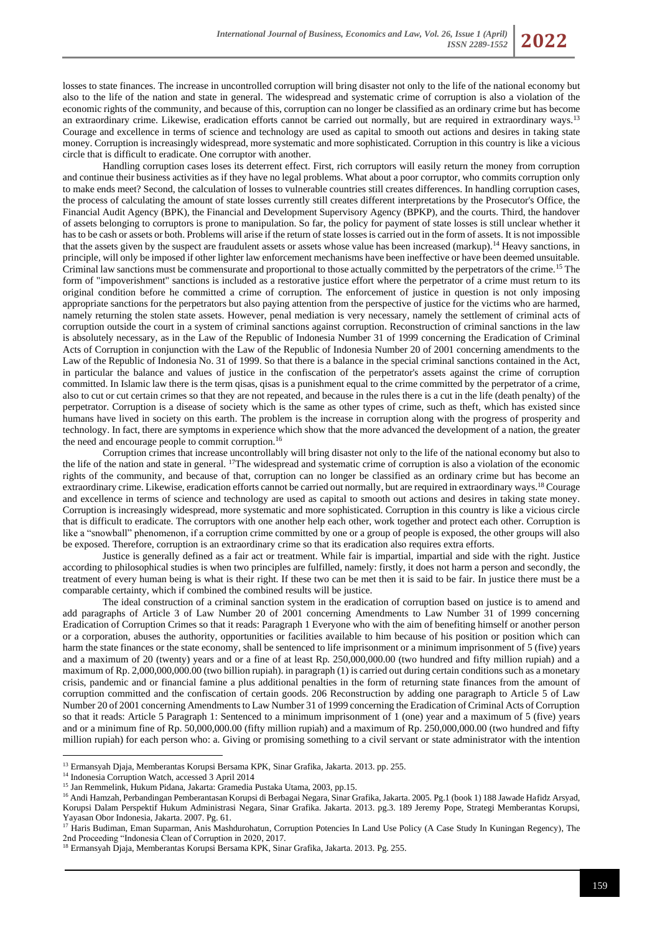losses to state finances. The increase in uncontrolled corruption will bring disaster not only to the life of the national economy but also to the life of the nation and state in general. The widespread and systematic crime of corruption is also a violation of the economic rights of the community, and because of this, corruption can no longer be classified as an ordinary crime but has become an extraordinary crime. Likewise, eradication efforts cannot be carried out normally, but are required in extraordinary ways.<sup>13</sup> Courage and excellence in terms of science and technology are used as capital to smooth out actions and desires in taking state money. Corruption is increasingly widespread, more systematic and more sophisticated. Corruption in this country is like a vicious circle that is difficult to eradicate. One corruptor with another.

Handling corruption cases loses its deterrent effect. First, rich corruptors will easily return the money from corruption and continue their business activities as if they have no legal problems. What about a poor corruptor, who commits corruption only to make ends meet? Second, the calculation of losses to vulnerable countries still creates differences. In handling corruption cases, the process of calculating the amount of state losses currently still creates different interpretations by the Prosecutor's Office, the Financial Audit Agency (BPK), the Financial and Development Supervisory Agency (BPKP), and the courts. Third, the handover of assets belonging to corruptors is prone to manipulation. So far, the policy for payment of state losses is still unclear whether it has to be cash or assets or both. Problems will arise if the return of state losses is carried out in the form of assets. It is not impossible that the assets given by the suspect are fraudulent assets or assets whose value has been increased (markup).<sup>14</sup> Heavy sanctions, in principle, will only be imposed if other lighter law enforcement mechanisms have been ineffective or have been deemed unsuitable. Criminal law sanctions must be commensurate and proportional to those actually committed by the perpetrators of the crime.<sup>15</sup> The form of "impoverishment" sanctions is included as a restorative justice effort where the perpetrator of a crime must return to its original condition before he committed a crime of corruption. The enforcement of justice in question is not only imposing appropriate sanctions for the perpetrators but also paying attention from the perspective of justice for the victims who are harmed, namely returning the stolen state assets. However, penal mediation is very necessary, namely the settlement of criminal acts of corruption outside the court in a system of criminal sanctions against corruption. Reconstruction of criminal sanctions in the law is absolutely necessary, as in the Law of the Republic of Indonesia Number 31 of 1999 concerning the Eradication of Criminal Acts of Corruption in conjunction with the Law of the Republic of Indonesia Number 20 of 2001 concerning amendments to the Law of the Republic of Indonesia No. 31 of 1999. So that there is a balance in the special criminal sanctions contained in the Act, in particular the balance and values of justice in the confiscation of the perpetrator's assets against the crime of corruption committed. In Islamic law there is the term qisas, qisas is a punishment equal to the crime committed by the perpetrator of a crime, also to cut or cut certain crimes so that they are not repeated, and because in the rules there is a cut in the life (death penalty) of the perpetrator. Corruption is a disease of society which is the same as other types of crime, such as theft, which has existed since humans have lived in society on this earth. The problem is the increase in corruption along with the progress of prosperity and technology. In fact, there are symptoms in experience which show that the more advanced the development of a nation, the greater the need and encourage people to commit corruption.<sup>16</sup>

Corruption crimes that increase uncontrollably will bring disaster not only to the life of the national economy but also to the life of the nation and state in general. <sup>17</sup>The widespread and systematic crime of corruption is also a violation of the economic rights of the community, and because of that, corruption can no longer be classified as an ordinary crime but has become an extraordinary crime. Likewise, eradication efforts cannot be carried out normally, but are required in extraordinary ways.<sup>18</sup> Courage and excellence in terms of science and technology are used as capital to smooth out actions and desires in taking state money. Corruption is increasingly widespread, more systematic and more sophisticated. Corruption in this country is like a vicious circle that is difficult to eradicate. The corruptors with one another help each other, work together and protect each other. Corruption is like a "snowball" phenomenon, if a corruption crime committed by one or a group of people is exposed, the other groups will also be exposed. Therefore, corruption is an extraordinary crime so that its eradication also requires extra efforts.

Justice is generally defined as a fair act or treatment. While fair is impartial, impartial and side with the right. Justice according to philosophical studies is when two principles are fulfilled, namely: firstly, it does not harm a person and secondly, the treatment of every human being is what is their right. If these two can be met then it is said to be fair. In justice there must be a comparable certainty, which if combined the combined results will be justice.

The ideal construction of a criminal sanction system in the eradication of corruption based on justice is to amend and add paragraphs of Article 3 of Law Number 20 of 2001 concerning Amendments to Law Number 31 of 1999 concerning Eradication of Corruption Crimes so that it reads: Paragraph 1 Everyone who with the aim of benefiting himself or another person or a corporation, abuses the authority, opportunities or facilities available to him because of his position or position which can harm the state finances or the state economy, shall be sentenced to life imprisonment or a minimum imprisonment of 5 (five) years and a maximum of 20 (twenty) years and or a fine of at least Rp. 250,000,000.00 (two hundred and fifty million rupiah) and a maximum of Rp. 2,000,000,000.00 (two billion rupiah). in paragraph (1) is carried out during certain conditions such as a monetary crisis, pandemic and or financial famine a plus additional penalties in the form of returning state finances from the amount of corruption committed and the confiscation of certain goods. 206 Reconstruction by adding one paragraph to Article 5 of Law Number 20 of 2001 concerning Amendments to Law Number 31 of 1999 concerning the Eradication of Criminal Acts of Corruption so that it reads: Article 5 Paragraph 1: Sentenced to a minimum imprisonment of 1 (one) year and a maximum of 5 (five) years and or a minimum fine of Rp. 50,000,000.00 (fifty million rupiah) and a maximum of Rp. 250,000,000.00 (two hundred and fifty million rupiah) for each person who: a. Giving or promising something to a civil servant or state administrator with the intention

<sup>13</sup> Ermansyah Djaja, Memberantas Korupsi Bersama KPK, Sinar Grafika, Jakarta. 2013. pp. 255.

<sup>&</sup>lt;sup>14</sup> Indonesia Corruption Watch, accessed 3 April 2014

<sup>15</sup> Jan Remmelink, Hukum Pidana, Jakarta: Gramedia Pustaka Utama, 2003, pp.15.

<sup>16</sup> Andi Hamzah, Perbandingan Pemberantasan Korupsi di Berbagai Negara, Sinar Grafika, Jakarta. 2005. Pg.1 (book 1) 188 Jawade Hafidz Arsyad, Korupsi Dalam Perspektif Hukum Administrasi Negara, Sinar Grafika. Jakarta. 2013. pg.3. 189 Jeremy Pope, Strategi Memberantas Korupsi, Yayasan Obor Indonesia, Jakarta. 2007. Pg. 61.

<sup>&</sup>lt;sup>17</sup> Haris Budiman, Eman Suparman, Anis Mashdurohatun[, Corruption Potencies In Land Use Policy \(A Case Study In Kuningan Regency\),](http://lppm-unissula.com/jurnal.unissula.ac.id/index.php/the2ndproceeding/article/view/1080) The 2nd Proceeding "Indonesia Clean of Corruption in 2020, 2017.

<sup>&</sup>lt;sup>18</sup> Ermansyah Djaja, Memberantas Korupsi Bersama KPK, Sinar Grafika, Jakarta. 2013. Pg. 255.